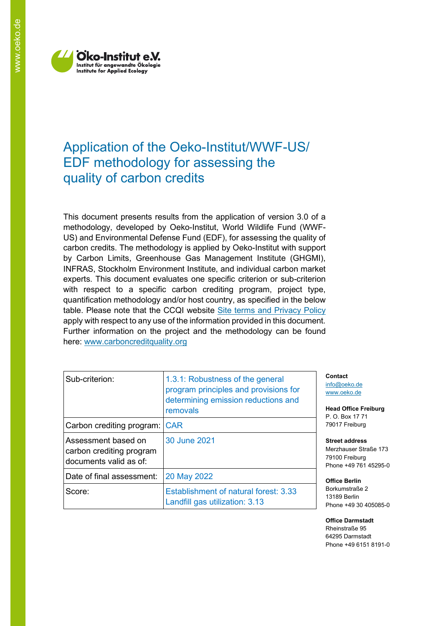

# Application of the Oeko-Institut/WWF-US/ EDF methodology for assessing the quality of carbon credits

This document presents results from the application of version 3.0 of a methodology, developed by Oeko-Institut, World Wildlife Fund (WWF-US) and Environmental Defense Fund (EDF), for assessing the quality of carbon credits. The methodology is applied by Oeko-Institut with support by Carbon Limits, Greenhouse Gas Management Institute (GHGMI), INFRAS, Stockholm Environment Institute, and individual carbon market experts. This document evaluates one specific criterion or sub-criterion with respect to a specific carbon crediting program, project type, quantification methodology and/or host country, as specified in the below table. Please note that the CCQI website [Site terms and Privacy Policy](https://carboncreditquality.org/terms.html) apply with respect to any use of the information provided in this document. Further information on the project and the methodology can be found here: [www.carboncreditquality.org](http://www.carboncreditquality.org/)

| Sub-criterion:                                                            | 1.3.1: Robustness of the general<br>program principles and provisions for<br>determining emission reductions and<br>removals |
|---------------------------------------------------------------------------|------------------------------------------------------------------------------------------------------------------------------|
| Carbon crediting program: CAR                                             |                                                                                                                              |
| Assessment based on<br>carbon crediting program<br>documents valid as of: | 30 June 2021                                                                                                                 |
| Date of final assessment:                                                 | 20 May 2022                                                                                                                  |
| Score:                                                                    | Establishment of natural forest: 3.33<br>Landfill gas utilization: 3.13                                                      |

**Contact** [info@oeko.de](mailto:info@oeko.de) [www.oeko.de](http://www.oeko.de/)

**Head Office Freiburg** P. O. Box 17 71 79017 Freiburg

**Street address** Merzhauser Straße 173 79100 Freiburg Phone +49 761 45295-0

**Office Berlin** Borkumstraße 2 13189 Berlin Phone +49 30 405085-0

**Office Darmstadt** Rheinstraße 95 64295 Darmstadt Phone +49 6151 8191-0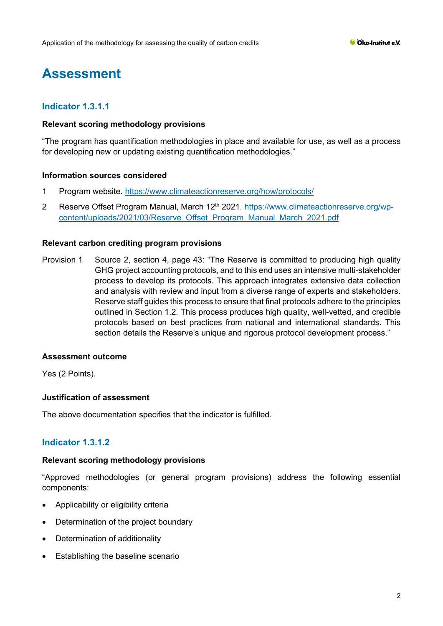# **Assessment**

# **Indicator 1.3.1.1**

## **Relevant scoring methodology provisions**

"The program has quantification methodologies in place and available for use, as well as a process for developing new or updating existing quantification methodologies."

## **Information sources considered**

- 1 Program website.<https://www.climateactionreserve.org/how/protocols/>
- 2 Reserve Offset Program Manual, March 12<sup>th</sup> 2021. [https://www.climateactionreserve.org/wp](https://www.climateactionreserve.org/wp-content/uploads/2021/03/Reserve_Offset_Program_Manual_March_2021.pdf)[content/uploads/2021/03/Reserve\\_Offset\\_Program\\_Manual\\_March\\_2021.pdf](https://www.climateactionreserve.org/wp-content/uploads/2021/03/Reserve_Offset_Program_Manual_March_2021.pdf)

## **Relevant carbon crediting program provisions**

Provision 1 Source 2, section 4, page 43: "The Reserve is committed to producing high quality GHG project accounting protocols, and to this end uses an intensive multi-stakeholder process to develop its protocols. This approach integrates extensive data collection and analysis with review and input from a diverse range of experts and stakeholders. Reserve staff guides this process to ensure that final protocols adhere to the principles outlined in Section 1.2. This process produces high quality, well-vetted, and credible protocols based on best practices from national and international standards. This section details the Reserve's unique and rigorous protocol development process."

#### **Assessment outcome**

Yes (2 Points).

## **Justification of assessment**

The above documentation specifies that the indicator is fulfilled.

## **Indicator 1.3.1.2**

#### **Relevant scoring methodology provisions**

"Approved methodologies (or general program provisions) address the following essential components:

- Applicability or eligibility criteria
- Determination of the project boundary
- Determination of additionality
- Establishing the baseline scenario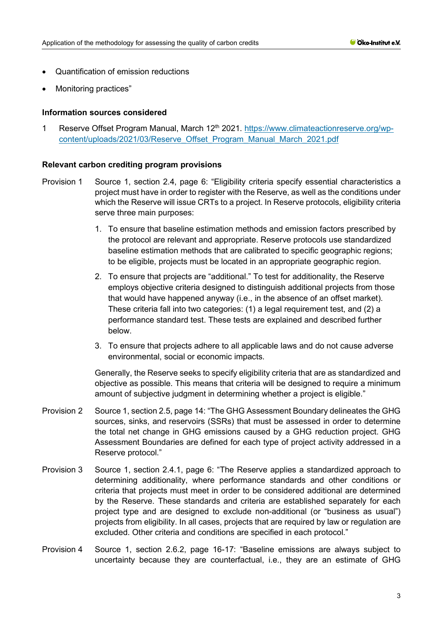- Quantification of emission reductions
- Monitoring practices"

## **Information sources considered**

1 Reserve Offset Program Manual, March 12<sup>th</sup> 2021. [https://www.climateactionreserve.org/wp](https://www.climateactionreserve.org/wp-content/uploads/2021/03/Reserve_Offset_Program_Manual_March_2021.pdf)[content/uploads/2021/03/Reserve\\_Offset\\_Program\\_Manual\\_March\\_2021.pdf](https://www.climateactionreserve.org/wp-content/uploads/2021/03/Reserve_Offset_Program_Manual_March_2021.pdf)

#### **Relevant carbon crediting program provisions**

- Provision 1 Source 1, section 2.4, page 6: "Eligibility criteria specify essential characteristics a project must have in order to register with the Reserve, as well as the conditions under which the Reserve will issue CRTs to a project. In Reserve protocols, eligibility criteria serve three main purposes:
	- 1. To ensure that baseline estimation methods and emission factors prescribed by the protocol are relevant and appropriate. Reserve protocols use standardized baseline estimation methods that are calibrated to specific geographic regions; to be eligible, projects must be located in an appropriate geographic region.
	- 2. To ensure that projects are "additional." To test for additionality, the Reserve employs objective criteria designed to distinguish additional projects from those that would have happened anyway (i.e., in the absence of an offset market). These criteria fall into two categories: (1) a legal requirement test, and (2) a performance standard test. These tests are explained and described further below.
	- 3. To ensure that projects adhere to all applicable laws and do not cause adverse environmental, social or economic impacts.

Generally, the Reserve seeks to specify eligibility criteria that are as standardized and objective as possible. This means that criteria will be designed to require a minimum amount of subjective judgment in determining whether a project is eligible."

- Provision 2 Source 1, section 2.5, page 14: "The GHG Assessment Boundary delineates the GHG sources, sinks, and reservoirs (SSRs) that must be assessed in order to determine the total net change in GHG emissions caused by a GHG reduction project. GHG Assessment Boundaries are defined for each type of project activity addressed in a Reserve protocol."
- Provision 3 Source 1, section 2.4.1, page 6: "The Reserve applies a standardized approach to determining additionality, where performance standards and other conditions or criteria that projects must meet in order to be considered additional are determined by the Reserve. These standards and criteria are established separately for each project type and are designed to exclude non-additional (or "business as usual") projects from eligibility. In all cases, projects that are required by law or regulation are excluded. Other criteria and conditions are specified in each protocol."
- Provision 4 Source 1, section 2.6.2, page 16-17: "Baseline emissions are always subject to uncertainty because they are counterfactual, i.e., they are an estimate of GHG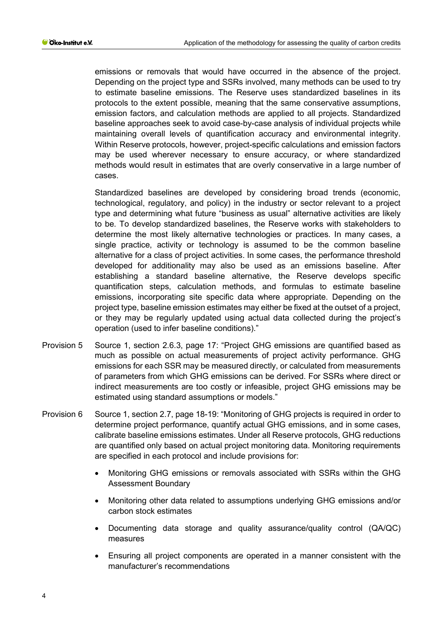emissions or removals that would have occurred in the absence of the project. Depending on the project type and SSRs involved, many methods can be used to try to estimate baseline emissions. The Reserve uses standardized baselines in its protocols to the extent possible, meaning that the same conservative assumptions, emission factors, and calculation methods are applied to all projects. Standardized baseline approaches seek to avoid case-by-case analysis of individual projects while maintaining overall levels of quantification accuracy and environmental integrity. Within Reserve protocols, however, project-specific calculations and emission factors may be used wherever necessary to ensure accuracy, or where standardized methods would result in estimates that are overly conservative in a large number of cases.

Standardized baselines are developed by considering broad trends (economic, technological, regulatory, and policy) in the industry or sector relevant to a project type and determining what future "business as usual" alternative activities are likely to be. To develop standardized baselines, the Reserve works with stakeholders to determine the most likely alternative technologies or practices. In many cases, a single practice, activity or technology is assumed to be the common baseline alternative for a class of project activities. In some cases, the performance threshold developed for additionality may also be used as an emissions baseline. After establishing a standard baseline alternative, the Reserve develops specific quantification steps, calculation methods, and formulas to estimate baseline emissions, incorporating site specific data where appropriate. Depending on the project type, baseline emission estimates may either be fixed at the outset of a project, or they may be regularly updated using actual data collected during the project's operation (used to infer baseline conditions)."

- Provision 5 Source 1, section 2.6.3, page 17: "Project GHG emissions are quantified based as much as possible on actual measurements of project activity performance. GHG emissions for each SSR may be measured directly, or calculated from measurements of parameters from which GHG emissions can be derived. For SSRs where direct or indirect measurements are too costly or infeasible, project GHG emissions may be estimated using standard assumptions or models."
- Provision 6 Source 1, section 2.7, page 18-19: "Monitoring of GHG projects is required in order to determine project performance, quantify actual GHG emissions, and in some cases, calibrate baseline emissions estimates. Under all Reserve protocols, GHG reductions are quantified only based on actual project monitoring data. Monitoring requirements are specified in each protocol and include provisions for:
	- Monitoring GHG emissions or removals associated with SSRs within the GHG Assessment Boundary
	- Monitoring other data related to assumptions underlying GHG emissions and/or carbon stock estimates
	- Documenting data storage and quality assurance/quality control (QA/QC) measures
	- Ensuring all project components are operated in a manner consistent with the manufacturer's recommendations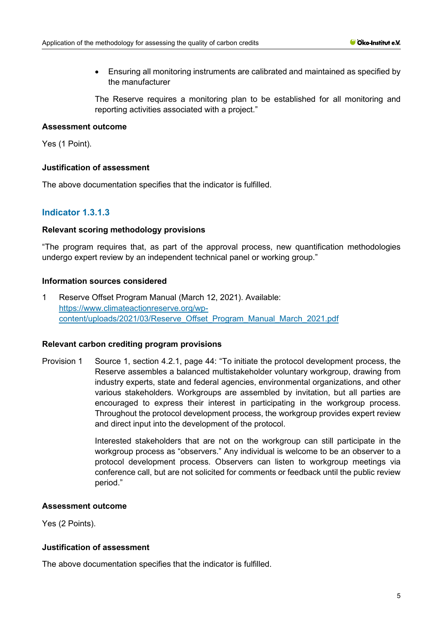• Ensuring all monitoring instruments are calibrated and maintained as specified by the manufacturer

The Reserve requires a monitoring plan to be established for all monitoring and reporting activities associated with a project."

# **Assessment outcome**

Yes (1 Point).

## **Justification of assessment**

The above documentation specifies that the indicator is fulfilled.

# **Indicator 1.3.1.3**

## **Relevant scoring methodology provisions**

"The program requires that, as part of the approval process, new quantification methodologies undergo expert review by an independent technical panel or working group."

## **Information sources considered**

1 Reserve Offset Program Manual (March 12, 2021). Available: [https://www.climateactionreserve.org/wp](https://www.climateactionreserve.org/wp-content/uploads/2021/03/Reserve_Offset_Program_Manual_March_2021.pdf)[content/uploads/2021/03/Reserve\\_Offset\\_Program\\_Manual\\_March\\_2021.pdf](https://www.climateactionreserve.org/wp-content/uploads/2021/03/Reserve_Offset_Program_Manual_March_2021.pdf)

## **Relevant carbon crediting program provisions**

Provision 1 Source 1, section 4.2.1, page 44: "To initiate the protocol development process, the Reserve assembles a balanced multistakeholder voluntary workgroup, drawing from industry experts, state and federal agencies, environmental organizations, and other various stakeholders. Workgroups are assembled by invitation, but all parties are encouraged to express their interest in participating in the workgroup process. Throughout the protocol development process, the workgroup provides expert review and direct input into the development of the protocol.

> Interested stakeholders that are not on the workgroup can still participate in the workgroup process as "observers." Any individual is welcome to be an observer to a protocol development process. Observers can listen to workgroup meetings via conference call, but are not solicited for comments or feedback until the public review period."

# **Assessment outcome**

Yes (2 Points).

## **Justification of assessment**

The above documentation specifies that the indicator is fulfilled.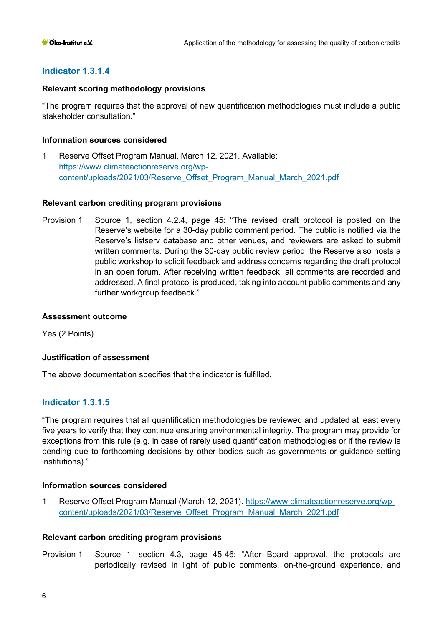## **Indicator 1.3.1.4**

#### **Relevant scoring methodology provisions**

"The program requires that the approval of new quantification methodologies must include a public stakeholder consultation."

#### **Information sources considered**

1 Reserve Offset Program Manual, March 12, 2021. Available: [https://www.climateactionreserve.org/wp](https://www.climateactionreserve.org/wp-content/uploads/2021/03/Reserve_Offset_Program_Manual_March_2021.pdf)[content/uploads/2021/03/Reserve\\_Offset\\_Program\\_Manual\\_March\\_2021.pdf](https://www.climateactionreserve.org/wp-content/uploads/2021/03/Reserve_Offset_Program_Manual_March_2021.pdf)

#### **Relevant carbon crediting program provisions**

Provision 1 Source 1, section 4.2.4, page 45: "The revised draft protocol is posted on the Reserve's website for a 30-day public comment period. The public is notified via the Reserve's listserv database and other venues, and reviewers are asked to submit written comments. During the 30-day public review period, the Reserve also hosts a public workshop to solicit feedback and address concerns regarding the draft protocol in an open forum. After receiving written feedback, all comments are recorded and addressed. A final protocol is produced, taking into account public comments and any further workgroup feedback."

#### **Assessment outcome**

Yes (2 Points)

## **Justification of assessment**

The above documentation specifies that the indicator is fulfilled.

## **Indicator 1.3.1.5**

"The program requires that all quantification methodologies be reviewed and updated at least every five years to verify that they continue ensuring environmental integrity. The program may provide for exceptions from this rule (e.g. in case of rarely used quantification methodologies or if the review is pending due to forthcoming decisions by other bodies such as governments or guidance setting institutions)."

#### **Information sources considered**

1 Reserve Offset Program Manual (March 12, 2021). [https://www.climateactionreserve.org/wp](https://www.climateactionreserve.org/wp-content/uploads/2021/03/Reserve_Offset_Program_Manual_March_2021.pdf)[content/uploads/2021/03/Reserve\\_Offset\\_Program\\_Manual\\_March\\_2021.pdf](https://www.climateactionreserve.org/wp-content/uploads/2021/03/Reserve_Offset_Program_Manual_March_2021.pdf)

#### **Relevant carbon crediting program provisions**

Provision 1 Source 1, section 4.3, page 45-46: "After Board approval, the protocols are periodically revised in light of public comments, on-the-ground experience, and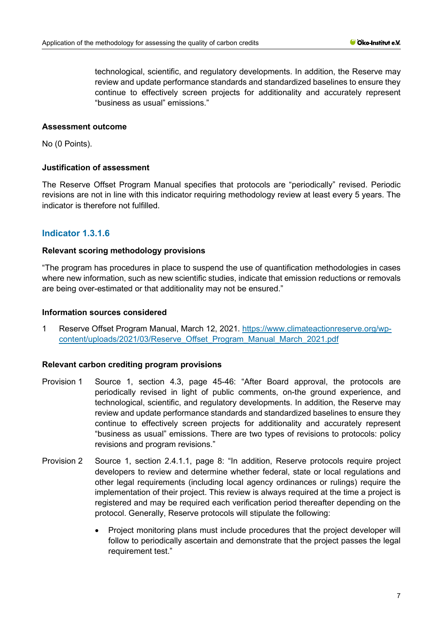technological, scientific, and regulatory developments. In addition, the Reserve may review and update performance standards and standardized baselines to ensure they continue to effectively screen projects for additionality and accurately represent "business as usual" emissions."

## **Assessment outcome**

No (0 Points).

## **Justification of assessment**

The Reserve Offset Program Manual specifies that protocols are "periodically" revised. Periodic revisions are not in line with this indicator requiring methodology review at least every 5 years. The indicator is therefore not fulfilled.

# **Indicator 1.3.1.6**

## **Relevant scoring methodology provisions**

"The program has procedures in place to suspend the use of quantification methodologies in cases where new information, such as new scientific studies, indicate that emission reductions or removals are being over-estimated or that additionality may not be ensured."

## **Information sources considered**

1 Reserve Offset Program Manual, March 12, 2021. [https://www.climateactionreserve.org/wp](https://www.climateactionreserve.org/wp-content/uploads/2021/03/Reserve_Offset_Program_Manual_March_2021.pdf)[content/uploads/2021/03/Reserve\\_Offset\\_Program\\_Manual\\_March\\_2021.pdf](https://www.climateactionreserve.org/wp-content/uploads/2021/03/Reserve_Offset_Program_Manual_March_2021.pdf)

## **Relevant carbon crediting program provisions**

- Provision 1 Source 1, section 4.3, page 45-46: "After Board approval, the protocols are periodically revised in light of public comments, on-the ground experience, and technological, scientific, and regulatory developments. In addition, the Reserve may review and update performance standards and standardized baselines to ensure they continue to effectively screen projects for additionality and accurately represent "business as usual" emissions. There are two types of revisions to protocols: policy revisions and program revisions."
- Provision 2 Source 1, section 2.4.1.1, page 8: "In addition, Reserve protocols require project developers to review and determine whether federal, state or local regulations and other legal requirements (including local agency ordinances or rulings) require the implementation of their project. This review is always required at the time a project is registered and may be required each verification period thereafter depending on the protocol. Generally, Reserve protocols will stipulate the following:
	- Project monitoring plans must include procedures that the project developer will follow to periodically ascertain and demonstrate that the project passes the legal requirement test."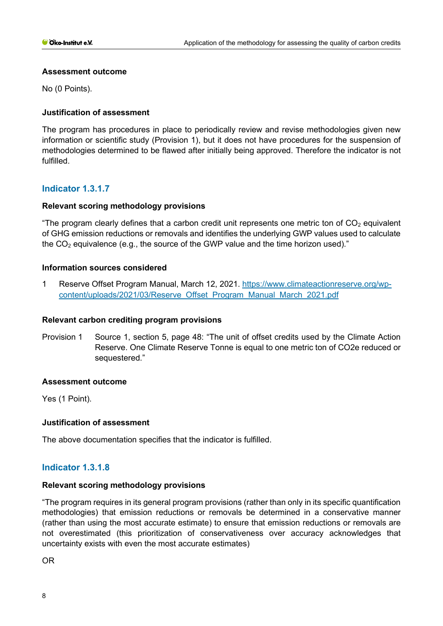## **Assessment outcome**

No (0 Points).

## **Justification of assessment**

The program has procedures in place to periodically review and revise methodologies given new information or scientific study (Provision 1), but it does not have procedures for the suspension of methodologies determined to be flawed after initially being approved. Therefore the indicator is not fulfilled.

## **Indicator 1.3.1.7**

## **Relevant scoring methodology provisions**

"The program clearly defines that a carbon credit unit represents one metric ton of  $CO<sub>2</sub>$  equivalent of GHG emission reductions or removals and identifies the underlying GWP values used to calculate the  $CO<sub>2</sub>$  equivalence (e.g., the source of the GWP value and the time horizon used)."

## **Information sources considered**

1 Reserve Offset Program Manual, March 12, 2021. [https://www.climateactionreserve.org/wp](https://www.climateactionreserve.org/wp-content/uploads/2021/03/Reserve_Offset_Program_Manual_March_2021.pdf)[content/uploads/2021/03/Reserve\\_Offset\\_Program\\_Manual\\_March\\_2021.pdf](https://www.climateactionreserve.org/wp-content/uploads/2021/03/Reserve_Offset_Program_Manual_March_2021.pdf)

## **Relevant carbon crediting program provisions**

Provision 1 Source 1, section 5, page 48: "The unit of offset credits used by the Climate Action Reserve. One Climate Reserve Tonne is equal to one metric ton of CO2e reduced or sequestered."

#### **Assessment outcome**

Yes (1 Point).

## **Justification of assessment**

The above documentation specifies that the indicator is fulfilled.

## **Indicator 1.3.1.8**

## **Relevant scoring methodology provisions**

"The program requires in its general program provisions (rather than only in its specific quantification methodologies) that emission reductions or removals be determined in a conservative manner (rather than using the most accurate estimate) to ensure that emission reductions or removals are not overestimated (this prioritization of conservativeness over accuracy acknowledges that uncertainty exists with even the most accurate estimates)

OR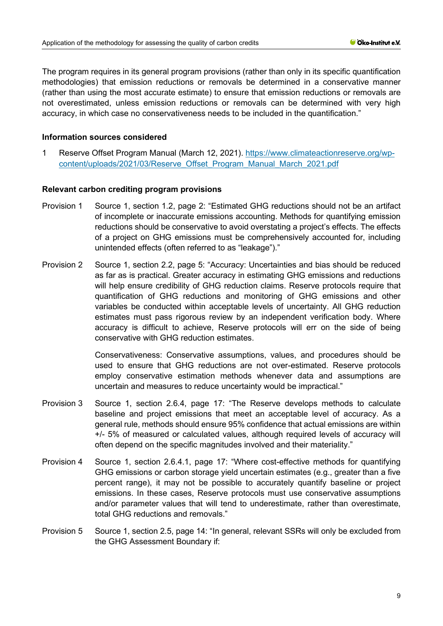The program requires in its general program provisions (rather than only in its specific quantification methodologies) that emission reductions or removals be determined in a conservative manner (rather than using the most accurate estimate) to ensure that emission reductions or removals are not overestimated, unless emission reductions or removals can be determined with very high accuracy, in which case no conservativeness needs to be included in the quantification."

#### **Information sources considered**

1 Reserve Offset Program Manual (March 12, 2021). [https://www.climateactionreserve.org/wp](https://www.climateactionreserve.org/wp-content/uploads/2021/03/Reserve_Offset_Program_Manual_March_2021.pdf)[content/uploads/2021/03/Reserve\\_Offset\\_Program\\_Manual\\_March\\_2021.pdf](https://www.climateactionreserve.org/wp-content/uploads/2021/03/Reserve_Offset_Program_Manual_March_2021.pdf)

#### **Relevant carbon crediting program provisions**

- Provision 1 Source 1, section 1.2, page 2: "Estimated GHG reductions should not be an artifact of incomplete or inaccurate emissions accounting. Methods for quantifying emission reductions should be conservative to avoid overstating a project's effects. The effects of a project on GHG emissions must be comprehensively accounted for, including unintended effects (often referred to as "leakage")."
- Provision 2 Source 1, section 2.2, page 5: "Accuracy: Uncertainties and bias should be reduced as far as is practical. Greater accuracy in estimating GHG emissions and reductions will help ensure credibility of GHG reduction claims. Reserve protocols require that quantification of GHG reductions and monitoring of GHG emissions and other variables be conducted within acceptable levels of uncertainty. All GHG reduction estimates must pass rigorous review by an independent verification body. Where accuracy is difficult to achieve, Reserve protocols will err on the side of being conservative with GHG reduction estimates.

Conservativeness: Conservative assumptions, values, and procedures should be used to ensure that GHG reductions are not over-estimated. Reserve protocols employ conservative estimation methods whenever data and assumptions are uncertain and measures to reduce uncertainty would be impractical."

- Provision 3 Source 1, section 2.6.4, page 17: "The Reserve develops methods to calculate baseline and project emissions that meet an acceptable level of accuracy. As a general rule, methods should ensure 95% confidence that actual emissions are within +/- 5% of measured or calculated values, although required levels of accuracy will often depend on the specific magnitudes involved and their materiality."
- Provision 4 Source 1, section 2.6.4.1, page 17: "Where cost-effective methods for quantifying GHG emissions or carbon storage yield uncertain estimates (e.g., greater than a five percent range), it may not be possible to accurately quantify baseline or project emissions. In these cases, Reserve protocols must use conservative assumptions and/or parameter values that will tend to underestimate, rather than overestimate, total GHG reductions and removals."
- Provision 5 Source 1, section 2.5, page 14: "In general, relevant SSRs will only be excluded from the GHG Assessment Boundary if: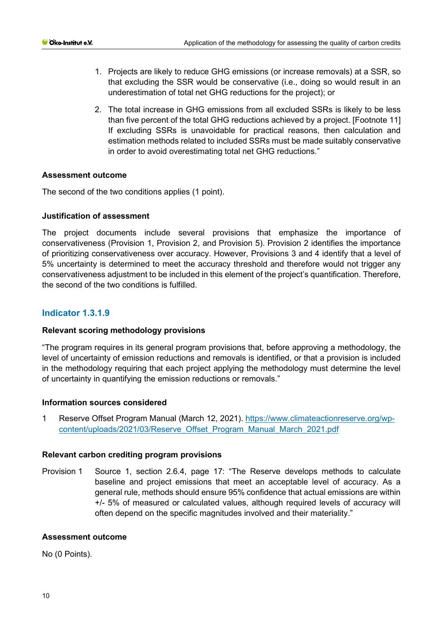- 1. Projects are likely to reduce GHG emissions (or increase removals) at a SSR, so that excluding the SSR would be conservative (i.e., doing so would result in an underestimation of total net GHG reductions for the project); or
- 2. The total increase in GHG emissions from all excluded SSRs is likely to be less than five percent of the total GHG reductions achieved by a project. [Footnote 11] If excluding SSRs is unavoidable for practical reasons, then calculation and estimation methods related to included SSRs must be made suitably conservative in order to avoid overestimating total net GHG reductions."

## **Assessment outcome**

The second of the two conditions applies (1 point).

## **Justification of assessment**

The project documents include several provisions that emphasize the importance of conservativeness (Provision 1, Provision 2, and Provision 5). Provision 2 identifies the importance of prioritizing conservativeness over accuracy. However, Provisions 3 and 4 identify that a level of 5% uncertainty is determined to meet the accuracy threshold and therefore would not trigger any conservativeness adjustment to be included in this element of the project's quantification. Therefore, the second of the two conditions is fulfilled.

# **Indicator 1.3.1.9**

#### **Relevant scoring methodology provisions**

"The program requires in its general program provisions that, before approving a methodology, the level of uncertainty of emission reductions and removals is identified, or that a provision is included in the methodology requiring that each project applying the methodology must determine the level of uncertainty in quantifying the emission reductions or removals."

#### **Information sources considered**

1 Reserve Offset Program Manual (March 12, 2021). [https://www.climateactionreserve.org/wp](https://www.climateactionreserve.org/wp-content/uploads/2021/03/Reserve_Offset_Program_Manual_March_2021.pdf)[content/uploads/2021/03/Reserve\\_Offset\\_Program\\_Manual\\_March\\_2021.pdf](https://www.climateactionreserve.org/wp-content/uploads/2021/03/Reserve_Offset_Program_Manual_March_2021.pdf)

#### **Relevant carbon crediting program provisions**

Provision 1 Source 1, section 2.6.4, page 17: "The Reserve develops methods to calculate baseline and project emissions that meet an acceptable level of accuracy. As a general rule, methods should ensure 95% confidence that actual emissions are within +/- 5% of measured or calculated values, although required levels of accuracy will often depend on the specific magnitudes involved and their materiality."

#### **Assessment outcome**

No (0 Points).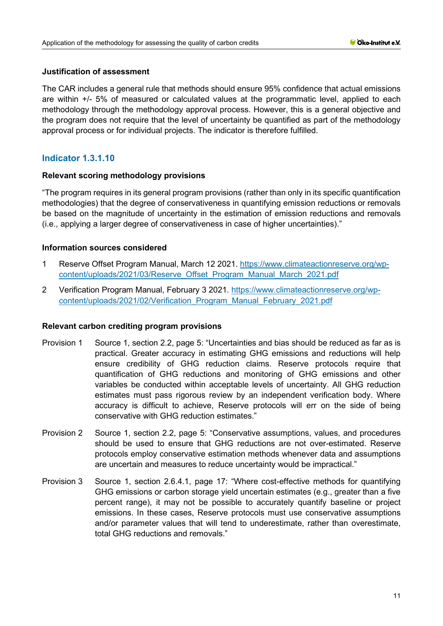## **Justification of assessment**

The CAR includes a general rule that methods should ensure 95% confidence that actual emissions are within +/- 5% of measured or calculated values at the programmatic level, applied to each methodology through the methodology approval process. However, this is a general objective and the program does not require that the level of uncertainty be quantified as part of the methodology approval process or for individual projects. The indicator is therefore fulfilled.

# **Indicator 1.3.1.10**

## **Relevant scoring methodology provisions**

"The program requires in its general program provisions (rather than only in its specific quantification methodologies) that the degree of conservativeness in quantifying emission reductions or removals be based on the magnitude of uncertainty in the estimation of emission reductions and removals (i.e., applying a larger degree of conservativeness in case of higher uncertainties)."

## **Information sources considered**

- 1 Reserve Offset Program Manual, March 12 2021. [https://www.climateactionreserve.org/wp](https://www.climateactionreserve.org/wp-content/uploads/2021/03/Reserve_Offset_Program_Manual_March_2021.pdf)[content/uploads/2021/03/Reserve\\_Offset\\_Program\\_Manual\\_March\\_2021.pdf](https://www.climateactionreserve.org/wp-content/uploads/2021/03/Reserve_Offset_Program_Manual_March_2021.pdf)
- 2 Verification Program Manual, February 3 2021. [https://www.climateactionreserve.org/wp](https://www.climateactionreserve.org/wp-content/uploads/2021/02/Verification_Program_Manual_February_2021.pdf)[content/uploads/2021/02/Verification\\_Program\\_Manual\\_February\\_2021.pdf](https://www.climateactionreserve.org/wp-content/uploads/2021/02/Verification_Program_Manual_February_2021.pdf)

#### **Relevant carbon crediting program provisions**

- Provision 1 Source 1, section 2.2, page 5: "Uncertainties and bias should be reduced as far as is practical. Greater accuracy in estimating GHG emissions and reductions will help ensure credibility of GHG reduction claims. Reserve protocols require that quantification of GHG reductions and monitoring of GHG emissions and other variables be conducted within acceptable levels of uncertainty. All GHG reduction estimates must pass rigorous review by an independent verification body. Where accuracy is difficult to achieve, Reserve protocols will err on the side of being conservative with GHG reduction estimates."
- Provision 2 Source 1, section 2.2, page 5: "Conservative assumptions, values, and procedures should be used to ensure that GHG reductions are not over-estimated. Reserve protocols employ conservative estimation methods whenever data and assumptions are uncertain and measures to reduce uncertainty would be impractical."
- Provision 3 Source 1, section 2.6.4.1, page 17: "Where cost-effective methods for quantifying GHG emissions or carbon storage yield uncertain estimates (e.g., greater than a five percent range), it may not be possible to accurately quantify baseline or project emissions. In these cases, Reserve protocols must use conservative assumptions and/or parameter values that will tend to underestimate, rather than overestimate, total GHG reductions and removals."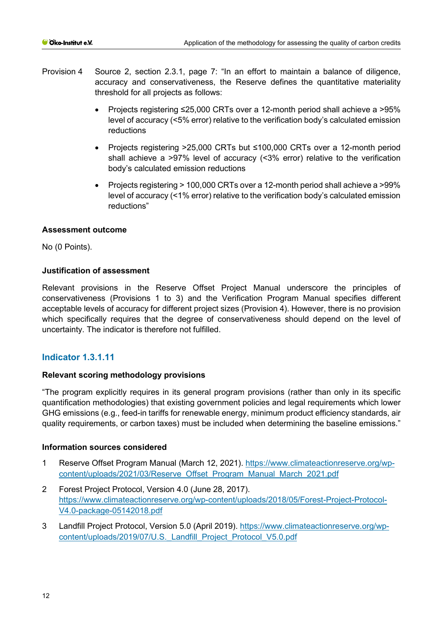- Provision 4 Source 2, section 2.3.1, page 7: "In an effort to maintain a balance of diligence, accuracy and conservativeness, the Reserve defines the quantitative materiality threshold for all projects as follows:
	- Projects registering ≤25,000 CRTs over a 12-month period shall achieve a >95% level of accuracy (<5% error) relative to the verification body's calculated emission reductions
	- Projects registering >25,000 CRTs but ≤100,000 CRTs over a 12-month period shall achieve a >97% level of accuracy (<3% error) relative to the verification body's calculated emission reductions
	- Projects registering > 100,000 CRTs over a 12-month period shall achieve a >99% level of accuracy (<1% error) relative to the verification body's calculated emission reductions"

## **Assessment outcome**

No (0 Points).

## **Justification of assessment**

Relevant provisions in the Reserve Offset Project Manual underscore the principles of conservativeness (Provisions 1 to 3) and the Verification Program Manual specifies different acceptable levels of accuracy for different project sizes (Provision 4). However, there is no provision which specifically requires that the degree of conservativeness should depend on the level of uncertainty. The indicator is therefore not fulfilled.

# **Indicator 1.3.1.11**

## **Relevant scoring methodology provisions**

"The program explicitly requires in its general program provisions (rather than only in its specific quantification methodologies) that existing government policies and legal requirements which lower GHG emissions (e.g., feed-in tariffs for renewable energy, minimum product efficiency standards, air quality requirements, or carbon taxes) must be included when determining the baseline emissions."

## **Information sources considered**

- 1 Reserve Offset Program Manual (March 12, 2021). [https://www.climateactionreserve.org/wp](https://www.climateactionreserve.org/wp-content/uploads/2021/03/Reserve_Offset_Program_Manual_March_2021.pdf)[content/uploads/2021/03/Reserve\\_Offset\\_Program\\_Manual\\_March\\_2021.pdf](https://www.climateactionreserve.org/wp-content/uploads/2021/03/Reserve_Offset_Program_Manual_March_2021.pdf)
- 2 Forest Project Protocol, Version 4.0 (June 28, 2017). [https://www.climateactionreserve.org/wp-content/uploads/2018/05/Forest-Project-Protocol-](https://www.climateactionreserve.org/wp-content/uploads/2018/05/Forest-Project-Protocol-V4.0-package-05142018.pdf)[V4.0-package-05142018.pdf](https://www.climateactionreserve.org/wp-content/uploads/2018/05/Forest-Project-Protocol-V4.0-package-05142018.pdf)
- 3 Landfill Project Protocol, Version 5.0 (April 2019). [https://www.climateactionreserve.org/wp](https://www.climateactionreserve.org/wp-content/uploads/2019/07/U.S._Landfill_Project_Protocol_V5.0.pdf)[content/uploads/2019/07/U.S.\\_Landfill\\_Project\\_Protocol\\_V5.0.pdf](https://www.climateactionreserve.org/wp-content/uploads/2019/07/U.S._Landfill_Project_Protocol_V5.0.pdf)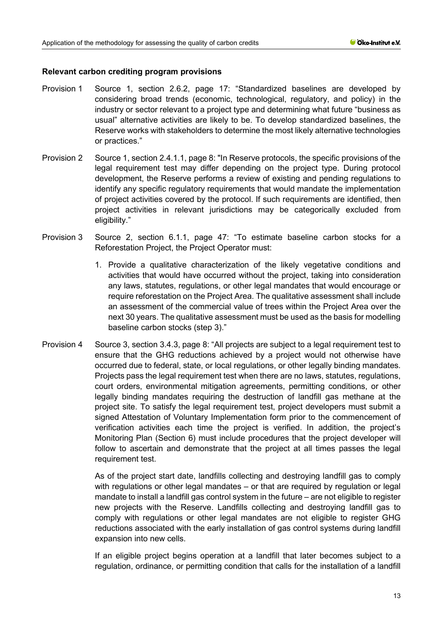## **Relevant carbon crediting program provisions**

- Provision 1 Source 1, section 2.6.2, page 17: "Standardized baselines are developed by considering broad trends (economic, technological, regulatory, and policy) in the industry or sector relevant to a project type and determining what future "business as usual" alternative activities are likely to be. To develop standardized baselines, the Reserve works with stakeholders to determine the most likely alternative technologies or practices."
- Provision 2 Source 1, section 2.4.1.1, page 8: "In Reserve protocols, the specific provisions of the legal requirement test may differ depending on the project type. During protocol development, the Reserve performs a review of existing and pending regulations to identify any specific regulatory requirements that would mandate the implementation of project activities covered by the protocol. If such requirements are identified, then project activities in relevant jurisdictions may be categorically excluded from eligibility."
- Provision 3 Source 2, section 6.1.1, page 47: "To estimate baseline carbon stocks for a Reforestation Project, the Project Operator must:
	- 1. Provide a qualitative characterization of the likely vegetative conditions and activities that would have occurred without the project, taking into consideration any laws, statutes, regulations, or other legal mandates that would encourage or require reforestation on the Project Area. The qualitative assessment shall include an assessment of the commercial value of trees within the Project Area over the next 30 years. The qualitative assessment must be used as the basis for modelling baseline carbon stocks (step 3)."
- Provision 4 Source 3, section 3.4.3, page 8: "All projects are subject to a legal requirement test to ensure that the GHG reductions achieved by a project would not otherwise have occurred due to federal, state, or local regulations, or other legally binding mandates. Projects pass the legal requirement test when there are no laws, statutes, regulations, court orders, environmental mitigation agreements, permitting conditions, or other legally binding mandates requiring the destruction of landfill gas methane at the project site. To satisfy the legal requirement test, project developers must submit a signed Attestation of Voluntary Implementation form prior to the commencement of verification activities each time the project is verified. In addition, the project's Monitoring Plan (Section 6) must include procedures that the project developer will follow to ascertain and demonstrate that the project at all times passes the legal requirement test.

As of the project start date, landfills collecting and destroying landfill gas to comply with regulations or other legal mandates – or that are required by regulation or legal mandate to install a landfill gas control system in the future – are not eligible to register new projects with the Reserve. Landfills collecting and destroying landfill gas to comply with regulations or other legal mandates are not eligible to register GHG reductions associated with the early installation of gas control systems during landfill expansion into new cells.

If an eligible project begins operation at a landfill that later becomes subject to a regulation, ordinance, or permitting condition that calls for the installation of a landfill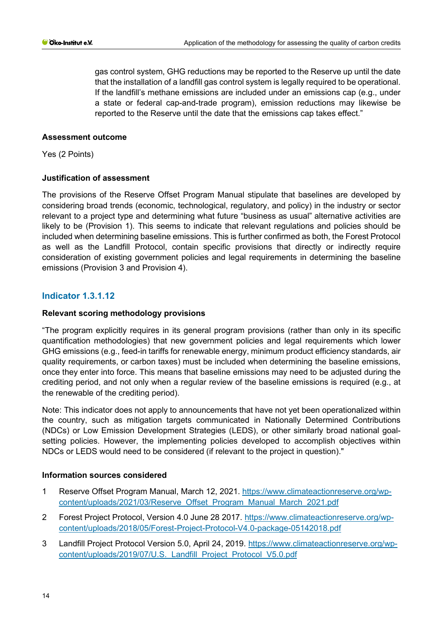gas control system, GHG reductions may be reported to the Reserve up until the date that the installation of a landfill gas control system is legally required to be operational. If the landfill's methane emissions are included under an emissions cap (e.g., under a state or federal cap-and-trade program), emission reductions may likewise be reported to the Reserve until the date that the emissions cap takes effect."

## **Assessment outcome**

Yes (2 Points)

## **Justification of assessment**

The provisions of the Reserve Offset Program Manual stipulate that baselines are developed by considering broad trends (economic, technological, regulatory, and policy) in the industry or sector relevant to a project type and determining what future "business as usual" alternative activities are likely to be (Provision 1). This seems to indicate that relevant regulations and policies should be included when determining baseline emissions. This is further confirmed as both, the Forest Protocol as well as the Landfill Protocol, contain specific provisions that directly or indirectly require consideration of existing government policies and legal requirements in determining the baseline emissions (Provision 3 and Provision 4).

## **Indicator 1.3.1.12**

## **Relevant scoring methodology provisions**

"The program explicitly requires in its general program provisions (rather than only in its specific quantification methodologies) that new government policies and legal requirements which lower GHG emissions (e.g., feed-in tariffs for renewable energy, minimum product efficiency standards, air quality requirements, or carbon taxes) must be included when determining the baseline emissions, once they enter into force. This means that baseline emissions may need to be adjusted during the crediting period, and not only when a regular review of the baseline emissions is required (e.g., at the renewable of the crediting period).

Note: This indicator does not apply to announcements that have not yet been operationalized within the country, such as mitigation targets communicated in Nationally Determined Contributions (NDCs) or Low Emission Development Strategies (LEDS), or other similarly broad national goalsetting policies. However, the implementing policies developed to accomplish objectives within NDCs or LEDS would need to be considered (if relevant to the project in question)."

#### **Information sources considered**

- 1 Reserve Offset Program Manual, March 12, 2021. [https://www.climateactionreserve.org/wp](https://www.climateactionreserve.org/wp-content/uploads/2021/03/Reserve_Offset_Program_Manual_March_2021.pdf)[content/uploads/2021/03/Reserve\\_Offset\\_Program\\_Manual\\_March\\_2021.pdf](https://www.climateactionreserve.org/wp-content/uploads/2021/03/Reserve_Offset_Program_Manual_March_2021.pdf)
- 2 Forest Project Protocol, Version 4.0 June 28 2017. [https://www.climateactionreserve.org/wp](https://www.climateactionreserve.org/wp-content/uploads/2018/05/Forest-Project-Protocol-V4.0-package-05142018.pdf)[content/uploads/2018/05/Forest-Project-Protocol-V4.0-package-05142018.pdf](https://www.climateactionreserve.org/wp-content/uploads/2018/05/Forest-Project-Protocol-V4.0-package-05142018.pdf)
- 3 Landfill Project Protocol Version 5.0, April 24, 2019. [https://www.climateactionreserve.org/wp](https://www.climateactionreserve.org/wp-content/uploads/2019/07/U.S._Landfill_Project_Protocol_V5.0.pdf)[content/uploads/2019/07/U.S.\\_Landfill\\_Project\\_Protocol\\_V5.0.pdf](https://www.climateactionreserve.org/wp-content/uploads/2019/07/U.S._Landfill_Project_Protocol_V5.0.pdf)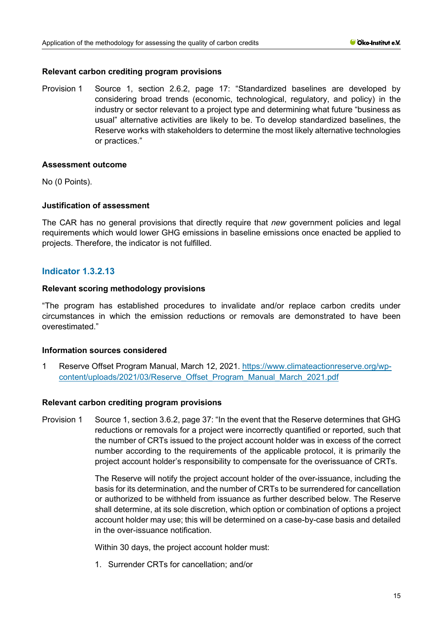## **Relevant carbon crediting program provisions**

Provision 1 Source 1, section 2.6.2, page 17: "Standardized baselines are developed by considering broad trends (economic, technological, regulatory, and policy) in the industry or sector relevant to a project type and determining what future "business as usual" alternative activities are likely to be. To develop standardized baselines, the Reserve works with stakeholders to determine the most likely alternative technologies or practices."

## **Assessment outcome**

No (0 Points).

## **Justification of assessment**

The CAR has no general provisions that directly require that *new* government policies and legal requirements which would lower GHG emissions in baseline emissions once enacted be applied to projects. Therefore, the indicator is not fulfilled.

## **Indicator 1.3.2.13**

## **Relevant scoring methodology provisions**

"The program has established procedures to invalidate and/or replace carbon credits under circumstances in which the emission reductions or removals are demonstrated to have been overestimated."

#### **Information sources considered**

1 Reserve Offset Program Manual, March 12, 2021. [https://www.climateactionreserve.org/wp](https://www.climateactionreserve.org/wp-content/uploads/2021/03/Reserve_Offset_Program_Manual_March_2021.pdf)[content/uploads/2021/03/Reserve\\_Offset\\_Program\\_Manual\\_March\\_2021.pdf](https://www.climateactionreserve.org/wp-content/uploads/2021/03/Reserve_Offset_Program_Manual_March_2021.pdf)

#### **Relevant carbon crediting program provisions**

Provision 1 Source 1, section 3.6.2, page 37: "In the event that the Reserve determines that GHG reductions or removals for a project were incorrectly quantified or reported, such that the number of CRTs issued to the project account holder was in excess of the correct number according to the requirements of the applicable protocol, it is primarily the project account holder's responsibility to compensate for the overissuance of CRTs.

> The Reserve will notify the project account holder of the over-issuance, including the basis for its determination, and the number of CRTs to be surrendered for cancellation or authorized to be withheld from issuance as further described below. The Reserve shall determine, at its sole discretion, which option or combination of options a project account holder may use; this will be determined on a case-by-case basis and detailed in the over-issuance notification.

Within 30 days, the project account holder must:

1. Surrender CRTs for cancellation; and/or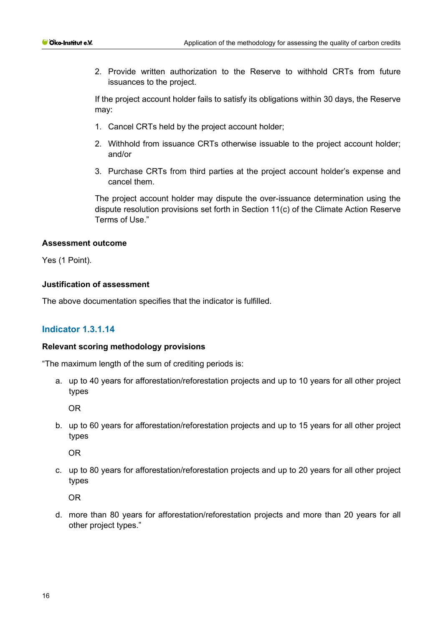2. Provide written authorization to the Reserve to withhold CRTs from future issuances to the project.

If the project account holder fails to satisfy its obligations within 30 days, the Reserve may:

- 1. Cancel CRTs held by the project account holder;
- 2. Withhold from issuance CRTs otherwise issuable to the project account holder; and/or
- 3. Purchase CRTs from third parties at the project account holder's expense and cancel them.

The project account holder may dispute the over-issuance determination using the dispute resolution provisions set forth in Section 11(c) of the Climate Action Reserve Terms of Use."

## **Assessment outcome**

Yes (1 Point).

## **Justification of assessment**

The above documentation specifies that the indicator is fulfilled.

# **Indicator 1.3.1.14**

## **Relevant scoring methodology provisions**

"The maximum length of the sum of crediting periods is:

a. up to 40 years for afforestation/reforestation projects and up to 10 years for all other project types

OR

b. up to 60 years for afforestation/reforestation projects and up to 15 years for all other project types

OR

c. up to 80 years for afforestation/reforestation projects and up to 20 years for all other project types

OR

d. more than 80 years for afforestation/reforestation projects and more than 20 years for all other project types."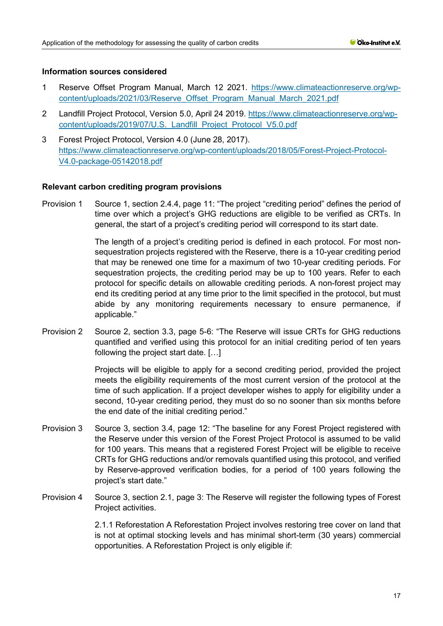## **Information sources considered**

- 1 Reserve Offset Program Manual, March 12 2021. [https://www.climateactionreserve.org/wp](https://www.climateactionreserve.org/wp-content/uploads/2021/03/Reserve_Offset_Program_Manual_March_2021.pdf)[content/uploads/2021/03/Reserve\\_Offset\\_Program\\_Manual\\_March\\_2021.pdf](https://www.climateactionreserve.org/wp-content/uploads/2021/03/Reserve_Offset_Program_Manual_March_2021.pdf)
- 2 Landfill Project Protocol, Version 5.0, April 24 2019. [https://www.climateactionreserve.org/wp](https://www.climateactionreserve.org/wp-content/uploads/2019/07/U.S._Landfill_Project_Protocol_V5.0.pdf)content/uploads/2019/07/U.S. Landfill Project Protocol V5.0.pdf
- 3 Forest Project Protocol, Version 4.0 (June 28, 2017). [https://www.climateactionreserve.org/wp-content/uploads/2018/05/Forest-Project-Protocol-](https://www.climateactionreserve.org/wp-content/uploads/2018/05/Forest-Project-Protocol-V4.0-package-05142018.pdf)[V4.0-package-05142018.pdf](https://www.climateactionreserve.org/wp-content/uploads/2018/05/Forest-Project-Protocol-V4.0-package-05142018.pdf)

## **Relevant carbon crediting program provisions**

Provision 1 Source 1, section 2.4.4, page 11: "The project "crediting period" defines the period of time over which a project's GHG reductions are eligible to be verified as CRTs. In general, the start of a project's crediting period will correspond to its start date.

> The length of a project's crediting period is defined in each protocol. For most nonsequestration projects registered with the Reserve, there is a 10-year crediting period that may be renewed one time for a maximum of two 10-year crediting periods. For sequestration projects, the crediting period may be up to 100 years. Refer to each protocol for specific details on allowable crediting periods. A non-forest project may end its crediting period at any time prior to the limit specified in the protocol, but must abide by any monitoring requirements necessary to ensure permanence, if applicable."

Provision 2 Source 2, section 3.3, page 5-6: "The Reserve will issue CRTs for GHG reductions quantified and verified using this protocol for an initial crediting period of ten years following the project start date. […]

> Projects will be eligible to apply for a second crediting period, provided the project meets the eligibility requirements of the most current version of the protocol at the time of such application. If a project developer wishes to apply for eligibility under a second, 10-year crediting period, they must do so no sooner than six months before the end date of the initial crediting period."

- Provision 3 Source 3, section 3.4, page 12: "The baseline for any Forest Project registered with the Reserve under this version of the Forest Project Protocol is assumed to be valid for 100 years. This means that a registered Forest Project will be eligible to receive CRTs for GHG reductions and/or removals quantified using this protocol, and verified by Reserve-approved verification bodies, for a period of 100 years following the project's start date."
- Provision 4 Source 3, section 2.1, page 3: The Reserve will register the following types of Forest Project activities.

2.1.1 Reforestation A Reforestation Project involves restoring tree cover on land that is not at optimal stocking levels and has minimal short-term (30 years) commercial opportunities. A Reforestation Project is only eligible if: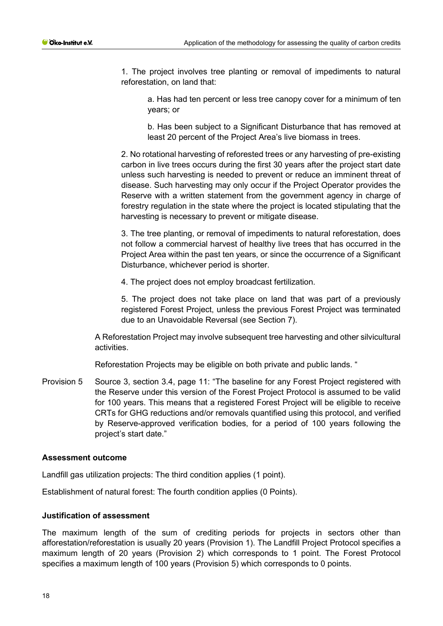1. The project involves tree planting or removal of impediments to natural reforestation, on land that:

a. Has had ten percent or less tree canopy cover for a minimum of ten years; or

b. Has been subject to a Significant Disturbance that has removed at least 20 percent of the Project Area's live biomass in trees.

2. No rotational harvesting of reforested trees or any harvesting of pre-existing carbon in live trees occurs during the first 30 years after the project start date unless such harvesting is needed to prevent or reduce an imminent threat of disease. Such harvesting may only occur if the Project Operator provides the Reserve with a written statement from the government agency in charge of forestry regulation in the state where the project is located stipulating that the harvesting is necessary to prevent or mitigate disease.

3. The tree planting, or removal of impediments to natural reforestation, does not follow a commercial harvest of healthy live trees that has occurred in the Project Area within the past ten years, or since the occurrence of a Significant Disturbance, whichever period is shorter.

4. The project does not employ broadcast fertilization.

5. The project does not take place on land that was part of a previously registered Forest Project, unless the previous Forest Project was terminated due to an Unavoidable Reversal (see Section 7).

A Reforestation Project may involve subsequent tree harvesting and other silvicultural activities.

Reforestation Projects may be eligible on both private and public lands. "

Provision 5 Source 3, section 3.4, page 11: "The baseline for any Forest Project registered with the Reserve under this version of the Forest Project Protocol is assumed to be valid for 100 years. This means that a registered Forest Project will be eligible to receive CRTs for GHG reductions and/or removals quantified using this protocol, and verified by Reserve-approved verification bodies, for a period of 100 years following the project's start date."

#### **Assessment outcome**

Landfill gas utilization projects: The third condition applies (1 point).

Establishment of natural forest: The fourth condition applies (0 Points).

#### **Justification of assessment**

The maximum length of the sum of crediting periods for projects in sectors other than afforestation/reforestation is usually 20 years (Provision 1). The Landfill Project Protocol specifies a maximum length of 20 years (Provision 2) which corresponds to 1 point. The Forest Protocol specifies a maximum length of 100 years (Provision 5) which corresponds to 0 points.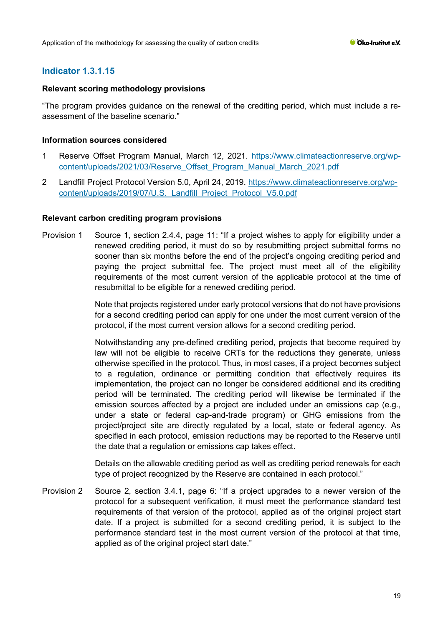# **Indicator 1.3.1.15**

## **Relevant scoring methodology provisions**

"The program provides guidance on the renewal of the crediting period, which must include a reassessment of the baseline scenario."

## **Information sources considered**

- 1 Reserve Offset Program Manual, March 12, 2021. [https://www.climateactionreserve.org/wp](https://www.climateactionreserve.org/wp-content/uploads/2021/03/Reserve_Offset_Program_Manual_March_2021.pdf)[content/uploads/2021/03/Reserve\\_Offset\\_Program\\_Manual\\_March\\_2021.pdf](https://www.climateactionreserve.org/wp-content/uploads/2021/03/Reserve_Offset_Program_Manual_March_2021.pdf)
- 2 Landfill Project Protocol Version 5.0, April 24, 2019. [https://www.climateactionreserve.org/wp](https://www.climateactionreserve.org/wp-content/uploads/2019/07/U.S._Landfill_Project_Protocol_V5.0.pdf)[content/uploads/2019/07/U.S.\\_Landfill\\_Project\\_Protocol\\_V5.0.pdf](https://www.climateactionreserve.org/wp-content/uploads/2019/07/U.S._Landfill_Project_Protocol_V5.0.pdf)

## **Relevant carbon crediting program provisions**

Provision 1 Source 1, section 2.4.4, page 11: "If a project wishes to apply for eligibility under a renewed crediting period, it must do so by resubmitting project submittal forms no sooner than six months before the end of the project's ongoing crediting period and paying the project submittal fee. The project must meet all of the eligibility requirements of the most current version of the applicable protocol at the time of resubmittal to be eligible for a renewed crediting period.

> Note that projects registered under early protocol versions that do not have provisions for a second crediting period can apply for one under the most current version of the protocol, if the most current version allows for a second crediting period.

> Notwithstanding any pre-defined crediting period, projects that become required by law will not be eligible to receive CRTs for the reductions they generate, unless otherwise specified in the protocol. Thus, in most cases, if a project becomes subject to a regulation, ordinance or permitting condition that effectively requires its implementation, the project can no longer be considered additional and its crediting period will be terminated. The crediting period will likewise be terminated if the emission sources affected by a project are included under an emissions cap (e.g., under a state or federal cap-and-trade program) or GHG emissions from the project/project site are directly regulated by a local, state or federal agency. As specified in each protocol, emission reductions may be reported to the Reserve until the date that a regulation or emissions cap takes effect.

> Details on the allowable crediting period as well as crediting period renewals for each type of project recognized by the Reserve are contained in each protocol."

Provision 2 Source 2, section 3.4.1, page 6: "If a project upgrades to a newer version of the protocol for a subsequent verification, it must meet the performance standard test requirements of that version of the protocol, applied as of the original project start date. If a project is submitted for a second crediting period, it is subject to the performance standard test in the most current version of the protocol at that time, applied as of the original project start date."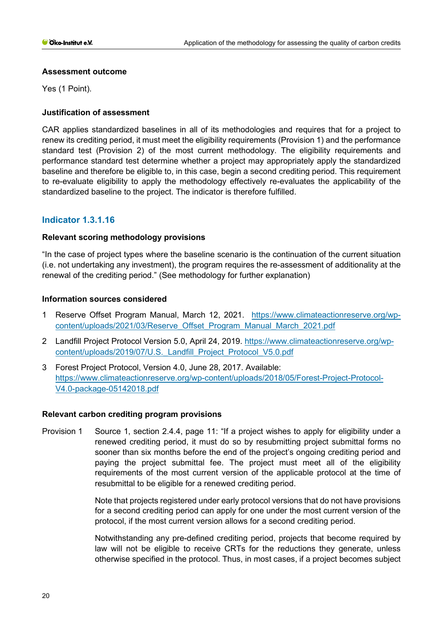## **Assessment outcome**

Yes (1 Point).

## **Justification of assessment**

CAR applies standardized baselines in all of its methodologies and requires that for a project to renew its crediting period, it must meet the eligibility requirements (Provision 1) and the performance standard test (Provision 2) of the most current methodology. The eligibility requirements and performance standard test determine whether a project may appropriately apply the standardized baseline and therefore be eligible to, in this case, begin a second crediting period. This requirement to re-evaluate eligibility to apply the methodology effectively re-evaluates the applicability of the standardized baseline to the project. The indicator is therefore fulfilled.

# **Indicator 1.3.1.16**

## **Relevant scoring methodology provisions**

"In the case of project types where the baseline scenario is the continuation of the current situation (i.e. not undertaking any investment), the program requires the re-assessment of additionality at the renewal of the crediting period." (See methodology for further explanation)

## **Information sources considered**

- 1 Reserve Offset Program Manual, March 12, 2021. [https://www.climateactionreserve.org/wp](https://www.climateactionreserve.org/wp-content/uploads/2021/03/Reserve_Offset_Program_Manual_March_2021.pdf)[content/uploads/2021/03/Reserve\\_Offset\\_Program\\_Manual\\_March\\_2021.pdf](https://www.climateactionreserve.org/wp-content/uploads/2021/03/Reserve_Offset_Program_Manual_March_2021.pdf)
- 2 Landfill Project Protocol Version 5.0, April 24, 2019. [https://www.climateactionreserve.org/wp](https://www.climateactionreserve.org/wp-content/uploads/2019/07/U.S._Landfill_Project_Protocol_V5.0.pdf)[content/uploads/2019/07/U.S.\\_Landfill\\_Project\\_Protocol\\_V5.0.pdf](https://www.climateactionreserve.org/wp-content/uploads/2019/07/U.S._Landfill_Project_Protocol_V5.0.pdf)
- 3 Forest Project Protocol, Version 4.0, June 28, 2017. Available: [https://www.climateactionreserve.org/wp-content/uploads/2018/05/Forest-Project-Protocol-](https://www.climateactionreserve.org/wp-content/uploads/2018/05/Forest-Project-Protocol-V4.0-package-05142018.pdf)[V4.0-package-05142018.pdf](https://www.climateactionreserve.org/wp-content/uploads/2018/05/Forest-Project-Protocol-V4.0-package-05142018.pdf)

## **Relevant carbon crediting program provisions**

Provision 1 Source 1, section 2.4.4, page 11: "If a project wishes to apply for eligibility under a renewed crediting period, it must do so by resubmitting project submittal forms no sooner than six months before the end of the project's ongoing crediting period and paying the project submittal fee. The project must meet all of the eligibility requirements of the most current version of the applicable protocol at the time of resubmittal to be eligible for a renewed crediting period.

> Note that projects registered under early protocol versions that do not have provisions for a second crediting period can apply for one under the most current version of the protocol, if the most current version allows for a second crediting period.

> Notwithstanding any pre-defined crediting period, projects that become required by law will not be eligible to receive CRTs for the reductions they generate, unless otherwise specified in the protocol. Thus, in most cases, if a project becomes subject